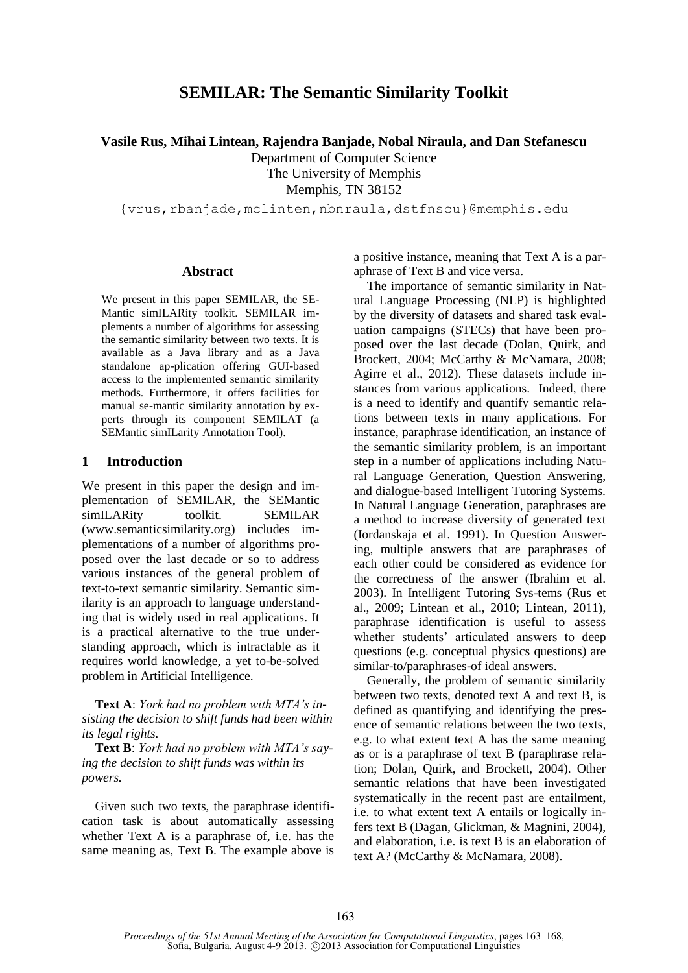# **SEMILAR: The Semantic Similarity Toolkit**

**Vasile Rus, Mihai Lintean, Rajendra Banjade, Nobal Niraula, and Dan Stefanescu**

Department of Computer Science

The University of Memphis

Memphis, TN 38152

{vrus,rbanjade,mclinten,nbnraula,dstfnscu}@memphis.edu

### **Abstract**

We present in this paper SEMILAR, the SE-Mantic simILARity toolkit. SEMILAR implements a number of algorithms for assessing the semantic similarity between two texts. It is available as a Java library and as a Java standalone ap-plication offering GUI-based access to the implemented semantic similarity methods. Furthermore, it offers facilities for manual se-mantic similarity annotation by experts through its component SEMILAT (a SEMantic simILarity Annotation Tool).

### **1 Introduction**

We present in this paper the design and implementation of SEMILAR, the SEMantic simILARity toolkit. SEMILAR (www.semanticsimilarity.org) includes implementations of a number of algorithms proposed over the last decade or so to address various instances of the general problem of text-to-text semantic similarity. Semantic similarity is an approach to language understanding that is widely used in real applications. It is a practical alternative to the true understanding approach, which is intractable as it requires world knowledge, a yet to-be-solved problem in Artificial Intelligence.

**Text A**: *York had no problem with MTA's insisting the decision to shift funds had been within its legal rights.*

**Text B**: *York had no problem with MTA's saying the decision to shift funds was within its powers.*

Given such two texts, the paraphrase identification task is about automatically assessing whether Text A is a paraphrase of, i.e. has the same meaning as, Text B. The example above is a positive instance, meaning that Text A is a paraphrase of Text B and vice versa.

The importance of semantic similarity in Natural Language Processing (NLP) is highlighted by the diversity of datasets and shared task evaluation campaigns (STECs) that have been proposed over the last decade (Dolan, Quirk, and Brockett, 2004; McCarthy & McNamara, 2008; Agirre et al., 2012). These datasets include instances from various applications. Indeed, there is a need to identify and quantify semantic relations between texts in many applications. For instance, paraphrase identification, an instance of the semantic similarity problem, is an important step in a number of applications including Natural Language Generation, Question Answering, and dialogue-based Intelligent Tutoring Systems. In Natural Language Generation, paraphrases are a method to increase diversity of generated text (Iordanskaja et al. 1991). In Question Answering, multiple answers that are paraphrases of each other could be considered as evidence for the correctness of the answer (Ibrahim et al. 2003). In Intelligent Tutoring Sys-tems (Rus et al., 2009; Lintean et al., 2010; Lintean, 2011), paraphrase identification is useful to assess whether students' articulated answers to deep questions (e.g. conceptual physics questions) are similar-to/paraphrases-of ideal answers.

Generally, the problem of semantic similarity between two texts, denoted text A and text B, is defined as quantifying and identifying the presence of semantic relations between the two texts, e.g. to what extent text A has the same meaning as or is a paraphrase of text B (paraphrase relation; Dolan, Quirk, and Brockett, 2004). Other semantic relations that have been investigated systematically in the recent past are entailment, i.e. to what extent text A entails or logically infers text B (Dagan, Glickman, & Magnini, 2004), and elaboration, i.e. is text B is an elaboration of text A? (McCarthy & McNamara, 2008).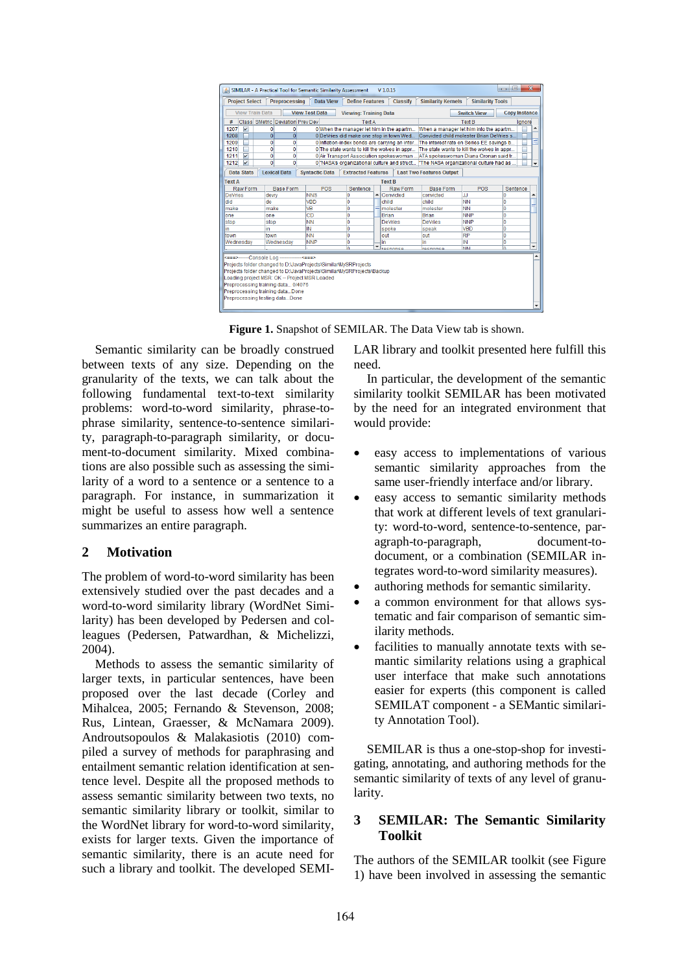| $\overline{\mathbf{x}}$<br>$\Box$<br>$\blacksquare$<br>SIMILAR - A Practical Tool for Semantic Similarity Assessment<br>$V$ 1.0.15<br>$\frac{d}{d}$ |                     |                                                                                                                                                                 |                                         |               |                   |                 |                                          |                                            |                      |                          |  |
|-----------------------------------------------------------------------------------------------------------------------------------------------------|---------------------|-----------------------------------------------------------------------------------------------------------------------------------------------------------------|-----------------------------------------|---------------|-------------------|-----------------|------------------------------------------|--------------------------------------------|----------------------|--------------------------|--|
| <b>Data View</b><br><b>Project Select</b><br><b>Preprocessing</b><br><b>Define Features</b>                                                         |                     |                                                                                                                                                                 |                                         |               |                   | <b>Classify</b> | <b>Similarity Kernels</b>                | <b>Similarity Tools</b>                    |                      |                          |  |
| <b>View Train Data</b><br><b>View Test Data</b><br><b>Switch View</b><br><b>Viewing: Training Data</b>                                              |                     |                                                                                                                                                                 |                                         |               |                   |                 |                                          |                                            | <b>Copy Instance</b> |                          |  |
| Class SMetric Deviation Prev Dev<br>#                                                                                                               |                     |                                                                                                                                                                 |                                         | <b>Text A</b> |                   |                 | <b>Text B</b>                            |                                            |                      | lgnore                   |  |
| 1207<br>$\mathbf{v}$                                                                                                                                | 0                   | 0 When the manager let him in the apartm<br>0                                                                                                                   |                                         |               |                   |                 | When a manager let him into the apartm   |                                            |                      |                          |  |
| 1208                                                                                                                                                | $\mathbf{0}$        | $\overline{0}$                                                                                                                                                  | 0 DeVries did make one stop in town Wed |               |                   |                 |                                          | Convicted child molester Brian DeVries s   |                      |                          |  |
| 1209                                                                                                                                                | Ō                   | Ō<br>0 Inflation-index bonds are carrying an inter                                                                                                              |                                         |               |                   |                 | The interest rate on Series EE savings b |                                            |                      |                          |  |
| 1210                                                                                                                                                | $\mathbf{0}$        | $\mathbf{0}$<br>O The state wants to kill the wolves in appr                                                                                                    |                                         |               |                   |                 |                                          | The state wants to kill the wolves in appr |                      |                          |  |
| 1211<br>$\overline{\mathbf{v}}$                                                                                                                     |                     | 0<br>0<br>0 Air Transport Association spokeswoman  ATA spokeswoman Diana Cronan said tr                                                                         |                                         |               |                   |                 |                                          |                                            |                      |                          |  |
| 1212<br>$\overline{\mathbf{v}}$                                                                                                                     |                     | $\mathbf{0}$<br>$\mathbf{0}$<br>0 <sup>1</sup> "NASA's organizational culture and struct<br>"The NASA organizational culture had as<br>$\overline{\phantom{a}}$ |                                         |               |                   |                 |                                          |                                            |                      |                          |  |
| Data Stats                                                                                                                                          | <b>Lexical Data</b> | <b>Syntactic Data</b>                                                                                                                                           | <b>Extracted Features</b>               |               |                   |                 | <b>Last Two Features Output</b>          |                                            |                      |                          |  |
| <b>Text A</b><br><b>Text B</b>                                                                                                                      |                     |                                                                                                                                                                 |                                         |               |                   |                 |                                          |                                            |                      |                          |  |
| Raw Form                                                                                                                                            | <b>Base Form</b>    | POS                                                                                                                                                             | Sentence                                |               |                   | Raw Form        | <b>Base Form</b>                         | POS                                        | Sentence             |                          |  |
| <b>DeVries</b>                                                                                                                                      | devry               | <b>NNS</b>                                                                                                                                                      | 0                                       | ▲             | Convicted         |                 | convicted                                | Ш                                          | 0                    |                          |  |
| did                                                                                                                                                 | do                  | <b>VBD</b>                                                                                                                                                      | 0                                       |               | child             |                 | child                                    | <b>NN</b>                                  | Ō                    |                          |  |
| make                                                                                                                                                | make                | <b>V<sub>R</sub></b>                                                                                                                                            | Ō                                       |               | molester<br>Brian |                 | molester                                 | <b>NN</b>                                  | ٥                    |                          |  |
| lone                                                                                                                                                | one                 | CD                                                                                                                                                              | $\overline{0}$                          |               |                   |                 | Brian                                    | <b>NNP</b>                                 | Ō                    |                          |  |
| stop                                                                                                                                                | stop                | <b>NN</b>                                                                                                                                                       | 0                                       |               | <b>DeVries</b>    |                 | <b>DeVries</b>                           | <b>NNP</b>                                 | Ō                    |                          |  |
| lin                                                                                                                                                 | lin.                | IN                                                                                                                                                              | 0                                       |               | spoke             |                 | speak                                    | <b>VBD</b>                                 | Ō                    |                          |  |
| town                                                                                                                                                | town                | <b>NN</b>                                                                                                                                                       | 0                                       |               | out               |                 | out                                      | <b>RP</b>                                  | Ō                    |                          |  |
| Wednesdav<br>Wednesdav                                                                                                                              |                     | <b>NNP</b>                                                                                                                                                      | 0                                       |               | lin               |                 | in                                       | IN                                         | 0                    | $\checkmark$             |  |
| $\checkmark$<br>Ä<br>Ä<br><b>NIN</b><br>recnonce<br>raenonea                                                                                        |                     |                                                                                                                                                                 |                                         |               |                   |                 |                                          |                                            |                      |                          |  |
| <===>------Console Log -------------<===>                                                                                                           |                     |                                                                                                                                                                 |                                         |               |                   |                 |                                          |                                            |                      |                          |  |
| Projects folder changed to D:\JavaProjects\SimilarMySRProjects                                                                                      |                     |                                                                                                                                                                 |                                         |               |                   |                 |                                          |                                            |                      |                          |  |
| Projects folder changed to D:\JavaProjects\Similar\MySRProjects\Backup                                                                              |                     |                                                                                                                                                                 |                                         |               |                   |                 |                                          |                                            |                      |                          |  |
| Loading project MSR: OK -- Project MSR Loaded                                                                                                       |                     |                                                                                                                                                                 |                                         |               |                   |                 |                                          |                                            |                      |                          |  |
| Preprocessing training data 0/4076                                                                                                                  |                     |                                                                                                                                                                 |                                         |               |                   |                 |                                          |                                            |                      |                          |  |
| Preprocessing training dataDone                                                                                                                     |                     |                                                                                                                                                                 |                                         |               |                   |                 |                                          |                                            |                      |                          |  |
| Preprocessing testing dataDone                                                                                                                      |                     |                                                                                                                                                                 |                                         |               |                   |                 |                                          |                                            |                      |                          |  |
|                                                                                                                                                     |                     |                                                                                                                                                                 |                                         |               |                   |                 |                                          |                                            |                      | $\overline{\phantom{0}}$ |  |

**Figure 1.** Snapshot of SEMILAR. The Data View tab is shown.

Semantic similarity can be broadly construed between texts of any size. Depending on the granularity of the texts, we can talk about the following fundamental text-to-text similarity problems: word-to-word similarity, phrase-tophrase similarity, sentence-to-sentence similarity, paragraph-to-paragraph similarity, or document-to-document similarity. Mixed combinations are also possible such as assessing the similarity of a word to a sentence or a sentence to a paragraph. For instance, in summarization it might be useful to assess how well a sentence summarizes an entire paragraph.

## **2 Motivation**

The problem of word-to-word similarity has been extensively studied over the past decades and a word-to-word similarity library (WordNet Similarity) has been developed by Pedersen and colleagues (Pedersen, Patwardhan, & Michelizzi, 2004).

Methods to assess the semantic similarity of larger texts, in particular sentences, have been proposed over the last decade (Corley and Mihalcea, 2005; Fernando & Stevenson, 2008; Rus, Lintean, Graesser, & McNamara 2009). Androutsopoulos & Malakasiotis (2010) compiled a survey of methods for paraphrasing and entailment semantic relation identification at sentence level. Despite all the proposed methods to assess semantic similarity between two texts, no semantic similarity library or toolkit, similar to the WordNet library for word-to-word similarity, exists for larger texts. Given the importance of semantic similarity, there is an acute need for such a library and toolkit. The developed SEMI-

LAR library and toolkit presented here fulfill this need.

In particular, the development of the semantic similarity toolkit SEMILAR has been motivated by the need for an integrated environment that would provide:

- easy access to implementations of various semantic similarity approaches from the same user-friendly interface and/or library.
- easy access to semantic similarity methods that work at different levels of text granularity: word-to-word, sentence-to-sentence, paragraph-to-paragraph, document-todocument, or a combination (SEMILAR integrates word-to-word similarity measures).
- authoring methods for semantic similarity.
- a common environment for that allows systematic and fair comparison of semantic similarity methods.
- facilities to manually annotate texts with semantic similarity relations using a graphical user interface that make such annotations easier for experts (this component is called SEMILAT component - a SEMantic similarity Annotation Tool).

SEMILAR is thus a one-stop-shop for investigating, annotating, and authoring methods for the semantic similarity of texts of any level of granularity.

## **3 SEMILAR: The Semantic Similarity Toolkit**

The authors of the SEMILAR toolkit (see Figure 1) have been involved in assessing the semantic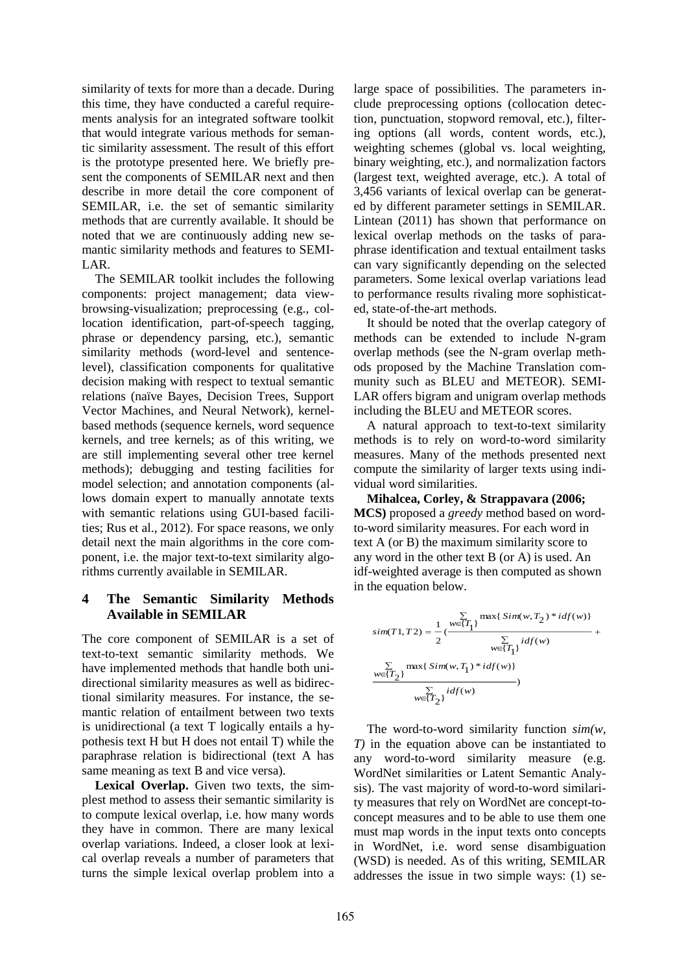similarity of texts for more than a decade. During this time, they have conducted a careful requirements analysis for an integrated software toolkit that would integrate various methods for semantic similarity assessment. The result of this effort is the prototype presented here. We briefly present the components of SEMILAR next and then describe in more detail the core component of SEMILAR, i.e. the set of semantic similarity methods that are currently available. It should be noted that we are continuously adding new semantic similarity methods and features to SEMI-LAR.

The SEMILAR toolkit includes the following components: project management; data viewbrowsing-visualization; preprocessing (e.g., collocation identification, part-of-speech tagging, phrase or dependency parsing, etc.), semantic similarity methods (word-level and sentencelevel), classification components for qualitative decision making with respect to textual semantic relations (naïve Bayes, Decision Trees, Support Vector Machines, and Neural Network), kernelbased methods (sequence kernels, word sequence kernels, and tree kernels; as of this writing, we are still implementing several other tree kernel methods); debugging and testing facilities for model selection; and annotation components (allows domain expert to manually annotate texts with semantic relations using GUI-based facilities; Rus et al., 2012). For space reasons, we only detail next the main algorithms in the core component, i.e. the major text-to-text similarity algorithms currently available in SEMILAR.

### **4 The Semantic Similarity Methods Available in SEMILAR**

The core component of SEMILAR is a set of text-to-text semantic similarity methods. We have implemented methods that handle both unidirectional similarity measures as well as bidirectional similarity measures. For instance, the semantic relation of entailment between two texts is unidirectional (a text T logically entails a hypothesis text H but H does not entail T) while the paraphrase relation is bidirectional (text A has same meaning as text B and vice versa).

Lexical Overlap. Given two texts, the simplest method to assess their semantic similarity is to compute lexical overlap, i.e. how many words they have in common. There are many lexical overlap variations. Indeed, a closer look at lexical overlap reveals a number of parameters that turns the simple lexical overlap problem into a large space of possibilities. The parameters include preprocessing options (collocation detection, punctuation, stopword removal, etc.), filtering options (all words, content words, etc.), weighting schemes (global vs. local weighting, binary weighting, etc.), and normalization factors (largest text, weighted average, etc.). A total of 3,456 variants of lexical overlap can be generated by different parameter settings in SEMILAR. Lintean (2011) has shown that performance on lexical overlap methods on the tasks of paraphrase identification and textual entailment tasks can vary significantly depending on the selected parameters. Some lexical overlap variations lead to performance results rivaling more sophisticated, state-of-the-art methods.

It should be noted that the overlap category of methods can be extended to include N-gram overlap methods (see the N-gram overlap methods proposed by the Machine Translation community such as BLEU and METEOR). SEMI-LAR offers bigram and unigram overlap methods including the BLEU and METEOR scores.

A natural approach to text-to-text similarity methods is to rely on word-to-word similarity measures. Many of the methods presented next compute the similarity of larger texts using individual word similarities.

**Mihalcea, Corley, & Strappavara (2006; MCS)** proposed a *greedy* method based on wordto-word similarity measures. For each word in text A (or B) the maximum similarity score to any word in the other text B (or A) is used. An idf-weighted average is then computed as shown in the equation below.

$$
\begin{split} sim(T1, T2) &= \frac{1}{2}(\frac{\sum\limits_{w \in \{T_{1}\}}\max\{\,Sim(w, T_{2}) * idf(w)\}}{\sum\limits_{w \in \{T_{1}\}}idf(w)} + \\ &\frac{\sum\limits_{w \in \{T_{2}\}}\max\{\,Sim(w, T_{1}) * idf(w)\}}{\sum\limits_{w \in \{T_{2}\}}idf(w)} ) \end{split}
$$

The word-to-word similarity function *sim(w, T)* in the equation above can be instantiated to any word-to-word similarity measure (e.g. WordNet similarities or Latent Semantic Analysis). The vast majority of word-to-word similarity measures that rely on WordNet are concept-toconcept measures and to be able to use them one must map words in the input texts onto concepts in WordNet, i.e. word sense disambiguation (WSD) is needed. As of this writing, SEMILAR addresses the issue in two simple ways: (1) se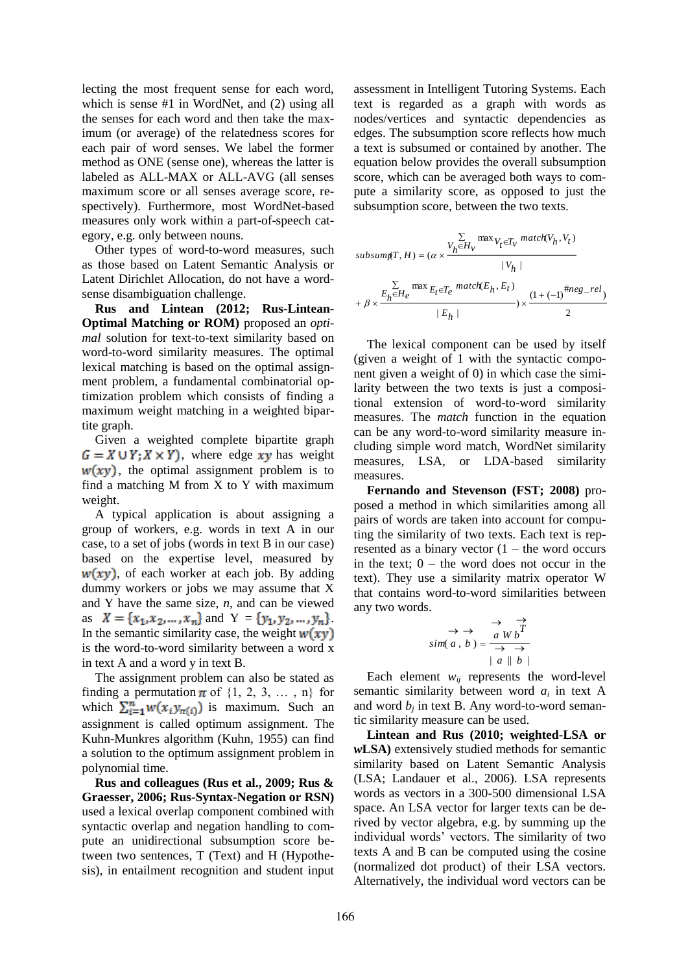lecting the most frequent sense for each word, which is sense #1 in WordNet, and (2) using all the senses for each word and then take the maximum (or average) of the relatedness scores for each pair of word senses. We label the former method as ONE (sense one), whereas the latter is labeled as ALL-MAX or ALL-AVG (all senses maximum score or all senses average score, respectively). Furthermore, most WordNet-based measures only work within a part-of-speech category, e.g. only between nouns.

Other types of word-to-word measures, such as those based on Latent Semantic Analysis or Latent Dirichlet Allocation, do not have a wordsense disambiguation challenge.

**Rus and Lintean (2012; Rus-Lintean-Optimal Matching or ROM)** proposed an *optimal* solution for text-to-text similarity based on word-to-word similarity measures. The optimal lexical matching is based on the optimal assignment problem, a fundamental combinatorial optimization problem which consists of finding a maximum weight matching in a weighted bipartite graph.

Given a weighted complete bipartite graph  $G = X \cup Y$ ;  $X \times Y$ ), where edge xy has weight  $w(xy)$ , the optimal assignment problem is to find a matching M from X to Y with maximum weight.

A typical application is about assigning a group of workers, e.g. words in text A in our case, to a set of jobs (words in text B in our case) based on the expertise level, measured by  $w(xy)$ , of each worker at each job. By adding dummy workers or jobs we may assume that X and Y have the same size, *n*, and can be viewed as  $X = \{x_1, x_2, ..., x_n\}$  and  $Y = \{y_1, y_2, ..., y_n\}$ . In the semantic similarity case, the weight  $w(xy)$ is the word-to-word similarity between a word x in text A and a word y in text B.

The assignment problem can also be stated as finding a permutation  $\pi$  of  $\{1, 2, 3, \ldots, n\}$  for which  $\sum_{i=1}^{n} w(x_i, y_{\pi(i)})$  is maximum. Such an assignment is called optimum assignment. The Kuhn-Munkres algorithm (Kuhn, 1955) can find a solution to the optimum assignment problem in polynomial time.

**Rus and colleagues (Rus et al., 2009; Rus & Graesser, 2006; Rus-Syntax-Negation or RSN)** used a lexical overlap component combined with syntactic overlap and negation handling to compute an unidirectional subsumption score between two sentences, T (Text) and H (Hypothesis), in entailment recognition and student input

assessment in Intelligent Tutoring Systems. Each text is regarded as a graph with words as nodes/vertices and syntactic dependencies as edges. The subsumption score reflects how much a text is subsumed or contained by another. The equation below provides the overall subsumption score, which can be averaged both ways to compute a similarity score, as opposed to just the subsumption score, between the two texts.

$$
\begin{aligned} subsum_{f,H}) = &\; (\alpha \times \frac{V_h \mathcal{E} H_v}{|V_h|} \frac{\max{V_f \in T_v} \; match(V_h, V_t)}{|V_h|} \\ &+ \beta \times \frac{E_h \mathcal{E} H_e}{|E_h|} \frac{\max{E_f \in T_e} \; match(E_h, E_t)}{|E_h|}) \times \frac{\left(1 + (-1)^{\# neg\_rel}\right)}{2} \end{aligned}
$$

The lexical component can be used by itself (given a weight of 1 with the syntactic component given a weight of 0) in which case the similarity between the two texts is just a compositional extension of word-to-word similarity measures. The *match* function in the equation can be any word-to-word similarity measure including simple word match, WordNet similarity measures, LSA, or LDA-based similarity measures.

**Fernando and Stevenson (FST; 2008)** proposed a method in which similarities among all pairs of words are taken into account for computing the similarity of two texts. Each text is represented as a binary vector  $(1 -$  the word occurs in the text;  $0 -$  the word does not occur in the text). They use a similarity matrix operator W that contains word-to-word similarities between any two words.

$$
\Rightarrow \Rightarrow \frac{\Rightarrow}{a \text{ } Wb} \overrightarrow{T}
$$
  
sim(a, b) = 
$$
\frac{a \text{ } Wb}{\Rightarrow \Rightarrow}
$$
  
| a || b |

Each element  $w_{ij}$  represents the word-level semantic similarity between word  $a_i$  in text A and word  $b_j$  in text B. Any word-to-word semantic similarity measure can be used.

**Lintean and Rus (2010; weighted-LSA or**  *w***LSA)** extensively studied methods for semantic similarity based on Latent Semantic Analysis (LSA; Landauer et al., 2006). LSA represents words as vectors in a 300-500 dimensional LSA space. An LSA vector for larger texts can be derived by vector algebra, e.g. by summing up the individual words' vectors. The similarity of two texts A and B can be computed using the cosine (normalized dot product) of their LSA vectors. Alternatively, the individual word vectors can be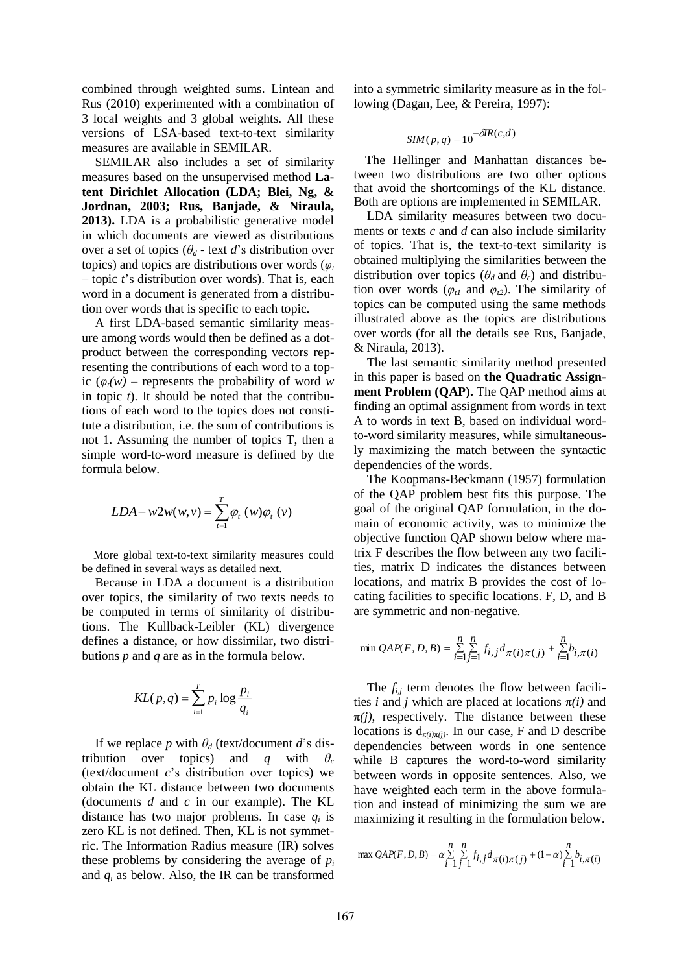combined through weighted sums. Lintean and Rus (2010) experimented with a combination of 3 local weights and 3 global weights. All these versions of LSA-based text-to-text similarity measures are available in SEMILAR.

SEMILAR also includes a set of similarity measures based on the unsupervised method **Latent Dirichlet Allocation (LDA; Blei, Ng, & Jordnan, 2003; Rus, Banjade, & Niraula, 2013).** LDA is a probabilistic generative model in which documents are viewed as distributions over a set of topics ( $\theta_d$  - text *d*'s distribution over topics) and topics are distributions over words ( $\varphi_t$ – topic *t*'s distribution over words). That is, each word in a document is generated from a distribution over words that is specific to each topic.

A first LDA-based semantic similarity measure among words would then be defined as a dotproduct between the corresponding vectors representing the contributions of each word to a topic  $(\varphi_t(w)$  – represents the probability of word *w* in topic *t*). It should be noted that the contributions of each word to the topics does not constitute a distribution, i.e. the sum of contributions is not 1. Assuming the number of topics T, then a simple word-to-word measure is defined by the formula below.

$$
LDA - w2w(w, v) = \sum_{t=1}^{T} \varphi_t(w)\varphi_t(v)
$$

More global text-to-text similarity measures could be defined in several ways as detailed next.

Because in LDA a document is a distribution over topics, the similarity of two texts needs to be computed in terms of similarity of distributions. The Kullback-Leibler (KL) divergence defines a distance, or how dissimilar, two distributions *p* and *q* are as in the formula below.

$$
KL(p,q) = \sum_{i=1}^{T} p_i \log \frac{p_i}{q_i}
$$

If we replace *p* with  $\theta_d$  (text/document *d*'s distribution over topics) and *q* with  $\theta_c$ (text/document *c*'s distribution over topics) we obtain the KL distance between two documents (documents *d* and *c* in our example). The KL distance has two major problems. In case *q<sup>i</sup>* is zero KL is not defined. Then, KL is not symmetric. The Information Radius measure (IR) solves these problems by considering the average of  $p_i$ and  $q_i$  as below. Also, the IR can be transformed

into a symmetric similarity measure as in the following (Dagan, Lee, & Pereira, 1997):

$$
SIM(p,q) = 10^{-\delta IR(c,d)}
$$

The Hellinger and Manhattan distances between two distributions are two other options that avoid the shortcomings of the KL distance. Both are options are implemented in SEMILAR.

LDA similarity measures between two documents or texts *c* and *d* can also include similarity of topics. That is, the text-to-text similarity is obtained multiplying the similarities between the distribution over topics ( $\theta_d$  and  $\theta_c$ ) and distribution over words ( $\varphi$ <sub>t1</sub> and  $\varphi$ <sub>t2</sub>). The similarity of topics can be computed using the same methods illustrated above as the topics are distributions over words (for all the details see Rus, Banjade, & Niraula, 2013).

The last semantic similarity method presented in this paper is based on **the Quadratic Assignment Problem (OAP).** The OAP method aims at finding an optimal assignment from words in text A to words in text B, based on individual wordto-word similarity measures, while simultaneously maximizing the match between the syntactic dependencies of the words.

The Koopmans-Beckmann (1957) formulation of the QAP problem best fits this purpose. The goal of the original QAP formulation, in the domain of economic activity, was to minimize the objective function QAP shown below where matrix F describes the flow between any two facilities, matrix D indicates the distances between locations, and matrix B provides the cost of locating facilities to specific locations. F, D, and B are symmetric and non-negative.

$$
\min QAP(F, D, B) = \sum_{i=1}^{n} \sum_{j=1}^{n} f_{i,j} d_{\pi(i)\pi(j)} + \sum_{i=1}^{n} b_{i,\pi(i)}
$$

The  $f_{i,j}$  term denotes the flow between facilities *i* and *j* which are placed at locations  $\pi(i)$  and  $\pi(j)$ , respectively. The distance between these locations is  $d_{\pi(i)\pi(j)}$ . In our case, F and D describe dependencies between words in one sentence while B captures the word-to-word similarity between words in opposite sentences. Also, we have weighted each term in the above formulation and instead of minimizing the sum we are maximizing it resulting in the formulation below.

$$
\max QAP(F, D, B) = \alpha \sum_{i=1}^{n} \sum_{j=1}^{n} f_{i,j} d_{\pi(i)\pi(j)} + (1 - \alpha) \sum_{i=1}^{n} b_{i,\pi(i)}
$$